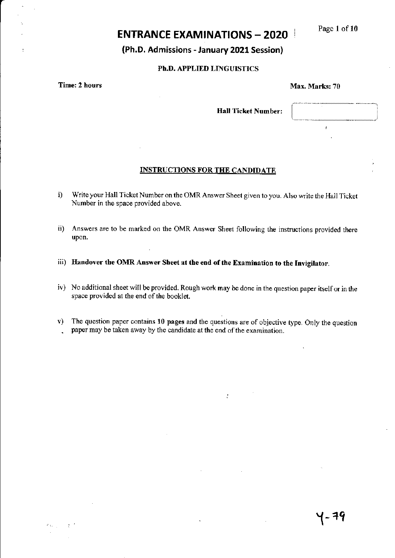Page 1 of 10

# **ENTRANCE EXAMINATIONS - 2020**

(Ph.D. Admissions - January 2021 Session)

### Ph.D. APPLIED LINGUISTICS

**Time: 2 hours** 

#### Max. Marks: 70

**Hall Ticket Number:** 

#### **INSTRUCTIONS FOR THE CANDIDATE**

- Write your Hall Ticket Number on the OMR Answer Sheet given to you. Also write the Hall Ticket  $i)$ Number in the space provided above.
- ii) Answers are to be marked on the OMR Answer Sheet following the instructions provided there upon.
- iii) Handover the OMR Answer Sheet at the end of the Examination to the Invigilator.
- iv) No additional sheet will be provided. Rough work may be done in the question paper itself or in the space provided at the end of the booklet.
- $v$ ) The question paper contains 10 pages and the questions are of objective type. Only the question paper may be taken away by the candidate at the end of the examination.

 $\frac{1}{\epsilon}$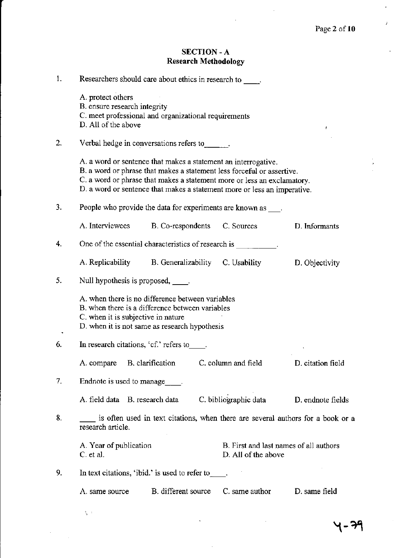$\hat{\vec{J}}$ 

 $\bar{z}$ 

## SECTION - A Research Methodology

| 1. |                                                                          | Researchers should care about ethics in research to .                                                                                                                                                                                                                                           |                                                               |                   |
|----|--------------------------------------------------------------------------|-------------------------------------------------------------------------------------------------------------------------------------------------------------------------------------------------------------------------------------------------------------------------------------------------|---------------------------------------------------------------|-------------------|
|    | A. protect others<br>B. ensure research integrity<br>D. All of the above | C. meet professional and organizational requirements                                                                                                                                                                                                                                            |                                                               |                   |
| 2. |                                                                          | Verbal hedge in conversations refers to $\qquad \qquad$ .                                                                                                                                                                                                                                       |                                                               |                   |
|    |                                                                          | A. a word or sentence that makes a statement an interrogative.<br>B. a word or phrase that makes a statement less forceful or assertive.<br>C. a word or phrase that makes a statement more or less an exclamatory.<br>D. a word or sentence that makes a statement more or less an imperative. |                                                               |                   |
| 3. |                                                                          | People who provide the data for experiments are known as                                                                                                                                                                                                                                        |                                                               |                   |
|    | A. Interviewees                                                          | B. Co-respondents C. Sources                                                                                                                                                                                                                                                                    |                                                               | D. Informants     |
| 4. |                                                                          | One of the essential characteristics of research is                                                                                                                                                                                                                                             |                                                               |                   |
|    |                                                                          | A. Replicability B. Generalizability C. Usability                                                                                                                                                                                                                                               |                                                               | D. Objectivity    |
| 5. | Null hypothesis is proposed, _____.                                      |                                                                                                                                                                                                                                                                                                 |                                                               |                   |
|    | C. when it is subjective in nature                                       | A. when there is no difference between variables<br>B. when there is a difference between variables<br>D. when it is not same as research hypothesis                                                                                                                                            |                                                               |                   |
| 6. |                                                                          | In research citations, 'cf.' refers to                                                                                                                                                                                                                                                          |                                                               |                   |
|    | A. compare B. clarification                                              |                                                                                                                                                                                                                                                                                                 | C. column and field                                           | D. citation field |
| 7. | Endnote is used to manage .                                              |                                                                                                                                                                                                                                                                                                 |                                                               |                   |
|    | A. field data B. research data                                           |                                                                                                                                                                                                                                                                                                 | C. bibliographic data                                         | D. endnote fields |
| 8. | research article.                                                        | is often used in text citations, when there are several authors for a book or a                                                                                                                                                                                                                 |                                                               |                   |
|    | A. Year of publication<br>C. et al.                                      |                                                                                                                                                                                                                                                                                                 | B. First and last names of all authors<br>D. All of the above |                   |
| 9. |                                                                          | In text citations, 'ibid.' is used to refer to                                                                                                                                                                                                                                                  |                                                               |                   |
|    | A. same source                                                           | B. different source                                                                                                                                                                                                                                                                             | C. same author                                                | D. same field     |

 $\ddot{\phantom{0}}$ 

 $\tilde{\chi}_\mu$  :

- 74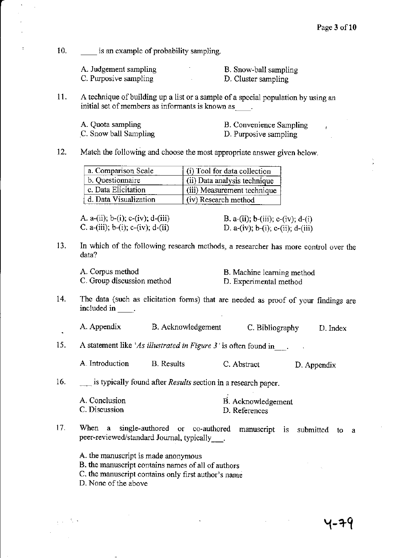10. is an example of probability sampling.

| A. Judgement sampling | B. Snow-ball sampling |
|-----------------------|-----------------------|
| C. Purposive sampling | D. Cluster sampling   |

11. A technique of building up a list or a sample of a special population by using an initial set of members as informants is known as  $\qquad$ .

| A. Quota sampling     | B. Convenience Sampling |
|-----------------------|-------------------------|
| C. Snow ball Sampling | D. Purposive sampling   |

12. Match the following and choose the most appropriate answer given below.

| a. Comparison Scale   | (i) Tool for data collection |
|-----------------------|------------------------------|
| b. Questionnaire      | (ii) Data analysis technique |
| c. Data Elicitation   | (iii) Measurement technique  |
| d. Data Visualization | (iv) Research method         |

A. a-(ii); b-(i); c-(iv); d-(iii) <br>C. a-(iii); b-(i); c-(iv); d-(ii) <br>D. a-(iv); b-(i); c-(ii); d-(iii) C. a-(iii); b-(i); c-(iv); d-(ii)

13. In which of the following reseaxch methods, a researcher has more control over the data?

| A. Corpus method           | B. Machine learning method |
|----------------------------|----------------------------|
| C. Group discussion method | D. Experimental method     |

- 14. The data (such as elicitation forms) that are needed as proof of your findings are  $\frac{1}{2}$  included in  $\frac{1}{2}$ .
	- . A. Appendix B. Acknowledgement C. Bibliography D. Index
- 15. A statement like 'As illustrated in Figure  $3'$  is often found in.

A.Introduction B. Results C. Abstact D. Appendix

16. \_\_ is typically found after Results section in a research paper.

| A. Conclusion | B. Acknowledgement |
|---------------|--------------------|
| C. Discussion | D. References      |

17. When a single-authored or co-authored manuscript is submitted to a peer-reviewed/standard Journal, typically ...

A. the manuscript is made anonymous

- B. the manuscript contains names of all of authors
- C. the manuscript contains only first author's name

D. None of the above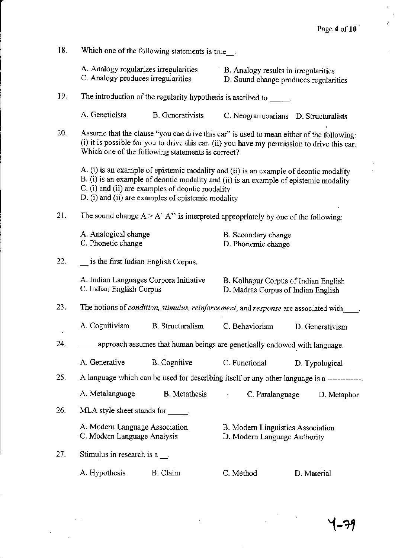ý

| 18.<br>Which one of the following statements is true |                                                                             |                                                                                                                                                                                                                                                                                          |                                                                               |  |                 |
|------------------------------------------------------|-----------------------------------------------------------------------------|------------------------------------------------------------------------------------------------------------------------------------------------------------------------------------------------------------------------------------------------------------------------------------------|-------------------------------------------------------------------------------|--|-----------------|
|                                                      | A. Analogy regularizes irregularities<br>C. Analogy produces irregularities |                                                                                                                                                                                                                                                                                          | B. Analogy results in irregularities<br>D. Sound change produces regularities |  |                 |
| 19.                                                  |                                                                             | The introduction of the regularity hypothesis is ascribed to $\frac{1}{\sqrt{1-\frac{1}{n}}}\$ .                                                                                                                                                                                         |                                                                               |  |                 |
|                                                      | A. Geneticists                                                              | <b>B.</b> Generativists                                                                                                                                                                                                                                                                  | C. Neogrammarians D. Structuralists                                           |  |                 |
| 20.                                                  |                                                                             | Assume that the clause "you can drive this car" is used to mean either of the following:<br>(i) it is possible for you to drive this car. (ii) you have my permission to drive this car.<br>Which one of the following statements is correct?                                            |                                                                               |  |                 |
|                                                      |                                                                             | A. (i) is an example of epistemic modality and (ii) is an example of deontic modality<br>B. (i) is an example of deontic modality and (ii) is an example of epistemic modality<br>C. (i) and (ii) are examples of deontic modality<br>D. (i) and (ii) are examples of epistemic modality |                                                                               |  |                 |
| 21.                                                  |                                                                             | The sound change $A > A'$ A'' is interpreted appropriately by one of the following:                                                                                                                                                                                                      |                                                                               |  |                 |
|                                                      | A. Analogical change<br>C. Phonetic change                                  |                                                                                                                                                                                                                                                                                          | B. Secondary change<br>D. Phonemic change                                     |  |                 |
| 22.                                                  | $\equiv$ is the first Indian English Corpus.                                |                                                                                                                                                                                                                                                                                          |                                                                               |  |                 |
|                                                      | C. Indian English Corpus                                                    | A. Indian Languages Corpora Initiative                                                                                                                                                                                                                                                   | B. Kolhapur Corpus of Indian English<br>D. Madras Corpus of Indian English    |  |                 |
| 23.                                                  |                                                                             | The notions of condition, stimulus, reinforcement, and response are associated with                                                                                                                                                                                                      |                                                                               |  |                 |
|                                                      | A. Cognitivism                                                              | <b>B.</b> Structuralism                                                                                                                                                                                                                                                                  | C. Behaviorism                                                                |  | D. Generativism |
| 24.                                                  |                                                                             | approach assumes that human beings are genetically endowed with language.                                                                                                                                                                                                                |                                                                               |  |                 |
|                                                      | A. Generative                                                               | <b>B.</b> Cognitive                                                                                                                                                                                                                                                                      | C. Functional                                                                 |  | D. Typological  |
| 25.                                                  |                                                                             | A language which can be used for describing itself or any other language is a ------------                                                                                                                                                                                               |                                                                               |  |                 |
|                                                      | A. Metalanguage                                                             | <b>B.</b> Metathesis                                                                                                                                                                                                                                                                     | C. Paralanguage                                                               |  | D. Metaphor     |
| 26.                                                  | MLA style sheet stands for .                                                |                                                                                                                                                                                                                                                                                          |                                                                               |  |                 |
|                                                      | A. Modern Language Association<br>C. Modern Language Analysis               |                                                                                                                                                                                                                                                                                          | B. Modern Linguistics Association<br>D. Modern Language Authority             |  |                 |
| 27.                                                  | Stimulus in research is a.                                                  |                                                                                                                                                                                                                                                                                          |                                                                               |  |                 |
|                                                      | A. Hypothesis                                                               | B. Claim                                                                                                                                                                                                                                                                                 | C. Method                                                                     |  | D. Material     |

 $\ddot{\phantom{0}}$ 

 $Y-79$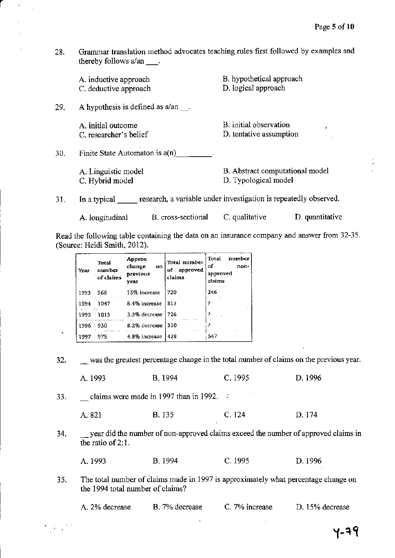Grammar translation method advocates teaching rules first followed by examples and 28. thereby follows a/an .

|     | A. inductive approach<br>C. deductive approach | B. hypothetical approach<br>D. logical approach                  |
|-----|------------------------------------------------|------------------------------------------------------------------|
| 29. | A hypothesis is defined as $a/an$ .            |                                                                  |
|     | A. initial outcome<br>C. researcher's belief   | B. initial observation<br>D. tentative assumption                |
| 30. | Finite State Automaton is $a(n)$               |                                                                  |
|     | A. Linguistic model<br>C. Hybrid model         | B. Abstract computational model<br>D. Typological model          |
| 31. | In a typical                                   | research, a variable under investigation is repeatedly observed. |

A. longitudinal B. cross-sectional C. qualitative D. quantitative

Read the following table containing the data on an insurance company and answer from 32-35. (Source: Heidi Smith, 2012).

| Year | Total<br>number<br>of claims | Approx<br>change<br>oп<br>previous<br>vear | Total number<br>approved<br>of<br>claims | Total<br>number<br>οf<br>non-<br>approved<br>claims |
|------|------------------------------|--------------------------------------------|------------------------------------------|-----------------------------------------------------|
| 1993 | 966                          | 15% increase                               | 720                                      | 246                                                 |
| 1994 | 1047                         | 8.4% increase                              | 813                                      |                                                     |
| 1995 | 1013                         | 3.2% decrease                              | 726                                      |                                                     |
| 1996 | 930                          | 1.11<br>8.2% decrease                      | 310<br>.                                 |                                                     |
| 1997 | 975                          | 4.8% increase                              | 428                                      | 547                                                 |

was the greatest percentage change in the total number of claims on the previous year. 32.

B. 1994 C. 1995 D. 1996 A. 1993

claims were made in 1997 than in 1992.  $\therefore$ 33.

 $\mathcal{L}_{\text{max}}$ 

**B.** 135 C. 124 A. 821 D. 174

34. year did the number of non-approved claims exceed the number of approved claims in the ratio of 2:1.

| A. 1993 | <b>B.</b> 1994 | C.1995 | D. 1996 |
|---------|----------------|--------|---------|
|         |                |        |         |

The total number of claims made in 1997 is approximately what percentage change on 35. the 1994 total number of claims?

B. 7% decrease C. 7% increase D. 15% decrease A. 2% decrease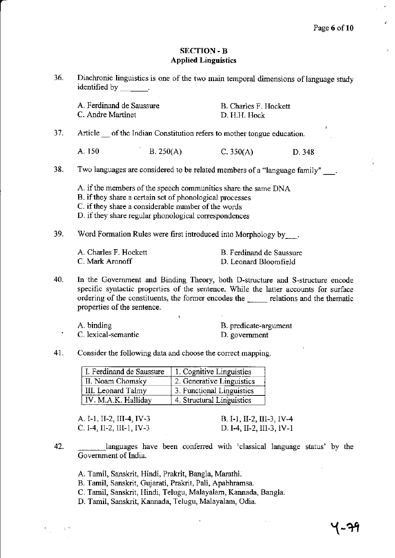J

### SECTION - B Applied Linguistics

36. Diachronic linguistics is one of the two main temporal dimensions of language study identified by \_\_\_\_\_\_\_.

|     | A. Ferdinand de Saussure<br>C. Andre Martinet |                                                                                                                                                                          | B. Charles F. Hockett<br>D. H.H. Hock                                          |                                                                                                                                                                                                                                                               |
|-----|-----------------------------------------------|--------------------------------------------------------------------------------------------------------------------------------------------------------------------------|--------------------------------------------------------------------------------|---------------------------------------------------------------------------------------------------------------------------------------------------------------------------------------------------------------------------------------------------------------|
| 37. |                                               |                                                                                                                                                                          | Article of the Indian Constitution refers to mother tongue education.          | t.                                                                                                                                                                                                                                                            |
|     | A. 150                                        | B. 250(A)                                                                                                                                                                | C. 350(A)                                                                      | D. 348                                                                                                                                                                                                                                                        |
| 38. |                                               |                                                                                                                                                                          | Two languages are considered to be related members of a "language family" ___. |                                                                                                                                                                                                                                                               |
|     |                                               | B. if they share a certain set of phonological processes<br>C. if they share a considerable number of the words<br>D. if they share regular phonological correspondences | A. if the members of the speech communities share the same DNA                 |                                                                                                                                                                                                                                                               |
| 39. |                                               |                                                                                                                                                                          | Word Formation Rules were first introduced into Morphology by                  |                                                                                                                                                                                                                                                               |
|     | A. Charles F. Hockett<br>C. Mark Aronoff      |                                                                                                                                                                          | B. Ferdinand de Saussure<br>D. Leonard Bloomfield                              |                                                                                                                                                                                                                                                               |
| 40. | properties of the sentence.                   |                                                                                                                                                                          |                                                                                | In the Government and Binding Theory, both D-structure and S-structure encode<br>specific syntactic properties of the sentence. While the latter accounts for surface<br>ordering of the constituents, the former encodes the well relations and the thematic |
|     | 4.111.11                                      |                                                                                                                                                                          |                                                                                |                                                                                                                                                                                                                                                               |

- A. binding B. predicate-argument C. lexical-semantic B. predicate-argument D. government
- 41. Consider the following data and choose the correct mapping.

| I. Ferdinand de Saussure | 1. Cognitive Linguistics  |
|--------------------------|---------------------------|
| II. Noam Chomsky         | 2. Generative Linguistics |
| III. Leonard Talmy       | 3. Functional Linguistics |
| IV. M.A.K. Halliday      | 4. Structural Linguistics |

| A. I-1, II-2, III-4, IV-3– | B. I-1, II-2, III-3, IV-4 |
|----------------------------|---------------------------|
| C. I-4, II-2, III-1, IV-3  | D. I-4, II-2, III-3, IV-1 |

42. languages have been confened with 'classical language status' by the Government of lndia.

 $\ddot{\phantom{0}}$ 

- A. Tamil, Sanskrit, Hindi, Prakrit, Bangla, Marathi.
- B. Tamil, Sanskrit, Gujarati, Prakrit, Pali, Apabhramsa.
- C. Tamil, Sanskrit, Hindi, Telugu, Malayalam, Kannada, Bangla.
- D. Tamil, Sanskrit, Kannada, Telugu, Malayalam, Odia.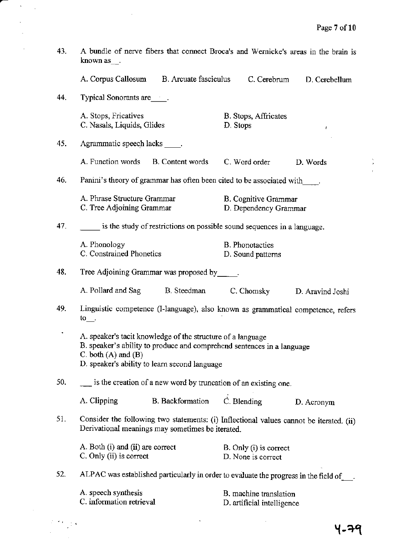医类的

| 43. | A bundle of nerve fibers that connect Broca's and Wernicke's areas in the brain is<br>known as $\Box$ .                                                                                                           |                                          |                                                                                  |                  |
|-----|-------------------------------------------------------------------------------------------------------------------------------------------------------------------------------------------------------------------|------------------------------------------|----------------------------------------------------------------------------------|------------------|
|     |                                                                                                                                                                                                                   | A. Corpus Callosum B. Arcuate fasciculus | C. Cerebrum                                                                      | D. Cerebellum    |
| 44. | Typical Sonorants are _____.                                                                                                                                                                                      |                                          |                                                                                  |                  |
|     | A. Stops, Fricatives<br>C. Nasals, Liquids, Glides                                                                                                                                                                |                                          | B. Stops, Affricates<br>D. Stops                                                 | ŧ                |
| 45. | Agrammatic speech lacks _____.                                                                                                                                                                                    |                                          |                                                                                  |                  |
|     | A. Function words B. Content words                                                                                                                                                                                |                                          | C. Word order                                                                    | D. Words         |
| 46. |                                                                                                                                                                                                                   |                                          | Panini's theory of grammar has often been cited to be associated with            |                  |
|     | A. Phrase Structure Grammar<br>C. Tree Adjoining Grammar                                                                                                                                                          |                                          | B. Cognitive Grammar<br>D. Dependency Grammar                                    |                  |
| 47. |                                                                                                                                                                                                                   |                                          | is the study of restrictions on possible sound sequences in a language.          |                  |
|     | A. Phonology<br>C. Constrained Phonetics                                                                                                                                                                          |                                          | <b>B.</b> Phonotactics<br>D. Sound patterns                                      |                  |
| 48. | Tree Adjoining Grammar was proposed by _____.                                                                                                                                                                     |                                          |                                                                                  |                  |
|     | A. Pollard and Sag B. Steedman                                                                                                                                                                                    |                                          | C. Chomsky                                                                       | D. Aravind Joshi |
| 49. | $\mathfrak{to}$ .                                                                                                                                                                                                 |                                          | Linguistic competence (I-language), also known as grammatical competence, refers |                  |
|     | A. speaker's tacit knowledge of the structure of a language<br>B. speaker's ability to produce and comprehend sentences in a language<br>C. both $(A)$ and $(B)$<br>D. speaker's ability to learn second language |                                          |                                                                                  |                  |
| 50. | is the creation of a new word by truncation of an existing one.                                                                                                                                                   |                                          |                                                                                  |                  |
|     | A. Clipping                                                                                                                                                                                                       | <b>B.</b> Backformation                  | C. Blending                                                                      | D. Acronym       |
| 51. | Consider the following two statements: (i) Inflectional values cannot be iterated. (ii)<br>Derivational meanings may sometimes be iterated.                                                                       |                                          |                                                                                  |                  |
|     | A. Both (i) and (ii) are correct<br>C. Only (ii) is correct                                                                                                                                                       |                                          | B. Only (i) is correct<br>D. None is correct                                     |                  |
| 52. | ALPAC was established particularly in order to evaluate the progress in the field of                                                                                                                              |                                          |                                                                                  |                  |
|     | A. speech synthesis<br>C. information retrieval                                                                                                                                                                   |                                          | B. machine translation<br>D. artificial intelligence                             |                  |

 $\hat{\mathcal{L}}$ 

 $\sim$ 

т.

 $\langle \cdot \rangle_{\rm{max}}$ 

 $\hat{\mathcal{A}}$ 

 $\label{eq:2} \frac{1}{2} \int_{0}^{2\pi} \frac{d\mathbf{r}}{d\mathbf{r}} \left[ \frac{d\mathbf{r}}{d\mathbf{r}} \right] d\mathbf{r}$ 

l,  $\overline{a}$   $\sim$ 

५-२९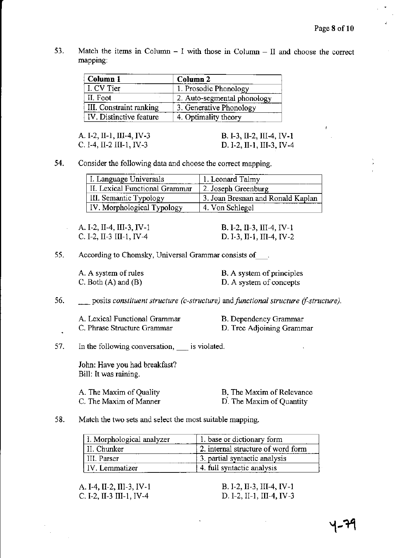53. Match the items in Column  $-1$  with those in Column  $-II$  and choose the correct mapping:

| Column 1                | Column <sub>2</sub>         |
|-------------------------|-----------------------------|
| I. CV Tier              | 1. Prosodic Phonology       |
| II. Foot                | 2. Auto-segmental phonology |
| III. Constraint ranking | 3. Generative Phonology     |
| IV. Distinctive feature | 4. Optimality theory        |

A. I-2, II-I, TI-4, IV-3 c. I-4, II-2 III-1, IV-3

B. I-3,II-2, III-4, IV.I D. I-2, II-1, III-3, IV-4

54. Consider the following data and choose the correct mapping.

| L. Language Universals         | 1. Leonard Talmy                  |
|--------------------------------|-----------------------------------|
| II. Lexical Functional Grammar | 2. Joseph Greenburg               |
| III. Semantic Typology         | 3. Joan Bresnan and Ronald Kaplan |
| IV. Morphological Typology     | 4. Von Schlegel                   |

A. I-2, II-4, III-3, IV-1 C. I-2, II-3 III-1, IV-4

B. I-2, II-3, III-4, IV-1 D. I-3, II-1, III-4, IV-2

55. According to Chomsky, Universal Grammar consists of.

A. A system of rules C. Both (A) and (B)

B. A system of principles D. A system of concepts

matively posits *constituent structure (c-structure)* and *functional structure (f-structure)*. 56.

A. Lexical Functional Grammar C. Phrase Structure Grammar

B. Dependency Grammar D. Tree Adjoining Grammar

In the following conversation,  $\quad$  is violated. 57.

> John: Have you had breakfast? Bill: It was raining.

A. The Maxim of Quality C. The Maxim of Manner B. The Maxim of Relevance

D. The Maxim of Quantity

### 58. Match the two sets and select the most suitable mapping.

| I. Morphological analyzer | 1. base or dictionary form         |
|---------------------------|------------------------------------|
| II. Chunker               | 2. internal structure of word form |
| III. Parser               | 3. partial syntactic analysis      |
| l IV. Lemmatizer          | 4. full syntactic analysis         |

A. I-4, II-2, III-3, IV-1 c. t-2, II-3 uI-1,IV-4

B. I-2, II-3, III-4, IV-1 D. I-2, II-1, III-4, IV-3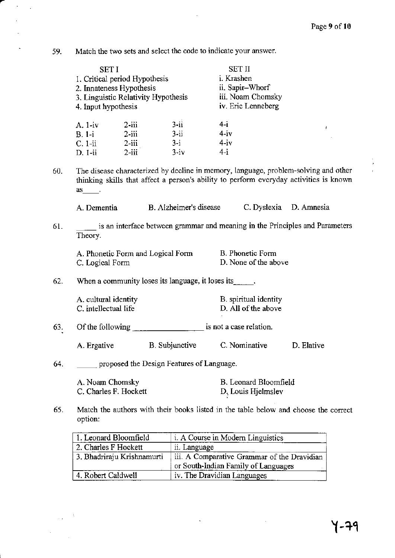59. Match the two sets and select the code to indicate your answer.

 $\mathbb{Z}^2$  $\bar{z}$ 

|     | <b>SETI</b>                                                                             |          |                                           | <b>SET II</b>         |                                                                                                                                                                               |  |
|-----|-----------------------------------------------------------------------------------------|----------|-------------------------------------------|-----------------------|-------------------------------------------------------------------------------------------------------------------------------------------------------------------------------|--|
|     | 1. Critical period Hypothesis<br>2. Innateness Hypothesis                               |          |                                           | i. Krashen            |                                                                                                                                                                               |  |
|     |                                                                                         |          |                                           | ii. Sapir-Whorf       |                                                                                                                                                                               |  |
|     |                                                                                         |          | 3. Linguistic Relativity Hypothesis       | iii. Noam Chomsky     |                                                                                                                                                                               |  |
|     | 4. Input hypothesis                                                                     |          |                                           | iv. Eric Lenneberg    |                                                                                                                                                                               |  |
|     | A. 1-iv                                                                                 | $2$ -iii | $3 - ii$                                  | $4-i$                 | ŧ.                                                                                                                                                                            |  |
|     | $B. 1-i$                                                                                | $2$ -iii | $3 - ii$                                  | $4-iv$                |                                                                                                                                                                               |  |
|     | $C. 1-ii$                                                                               | $2$ -iii | $3-i$                                     | $4-iv$                |                                                                                                                                                                               |  |
|     | $D. 1-ii$                                                                               | $2$ -iii | $3 - iv$                                  | $4-i$                 |                                                                                                                                                                               |  |
| 60. | $\mathsf{as}$ .                                                                         |          |                                           |                       | The disease characterized by decline in memory, language, problem-solving and other<br>thinking skills that affect a person's ability to perform everyday activities is known |  |
|     | A. Dementia                                                                             |          | B. Alzheimer's disease                    |                       | C. Dyslexia D. Amnesia                                                                                                                                                        |  |
| 61. | is an interface between grammar and meaning in the Principles and Parameters<br>Theory. |          |                                           |                       |                                                                                                                                                                               |  |
|     |                                                                                         |          | A. Phonetic Form and Logical Form         | B. Phonetic Form      |                                                                                                                                                                               |  |
|     | C. Logical Form                                                                         |          |                                           | D. None of the above  |                                                                                                                                                                               |  |
| 62. | When a community loses its language, it loses its                                       |          |                                           |                       |                                                                                                                                                                               |  |
|     | A. cultural identity                                                                    |          |                                           | B. spiritual identity |                                                                                                                                                                               |  |
|     | C. intellectual life                                                                    |          |                                           | D. All of the above   |                                                                                                                                                                               |  |
| 63. | Of the following                                                                        |          | is not a case relation.                   |                       |                                                                                                                                                                               |  |
|     |                                                                                         |          | A. Ergative B. Subjunctive                | C. Nominative         | D. Elative                                                                                                                                                                    |  |
| 64. |                                                                                         |          | proposed the Design Features of Language. |                       |                                                                                                                                                                               |  |
|     | A. Noam Chomsky                                                                         |          |                                           | B. Leonard Bloomfield |                                                                                                                                                                               |  |
|     | C. Charles F. Hockett                                                                   |          |                                           | D. Louis Hjelmslev    |                                                                                                                                                                               |  |

65. Match the authors with their books listed in the table below and choose the correct option:

| 1. Leonard Bloomfield      | <i>i.</i> A Course in Modern Linguistics    |
|----------------------------|---------------------------------------------|
| 2. Charles F Hockett       | ii. Language                                |
| 3. Bhadriraju Krishnamurti | iii. A Comparative Grammar of the Dravidian |
|                            | or South-Indian Family of Languages         |
| 4. Robert Caldwell         | iv. The Dravidian Languages                 |

 $\ddot{\phantom{a}}$ 

 $\overline{\phantom{a}}$ 

 $\bar{\beta}$  $\mathbb{Z}_2$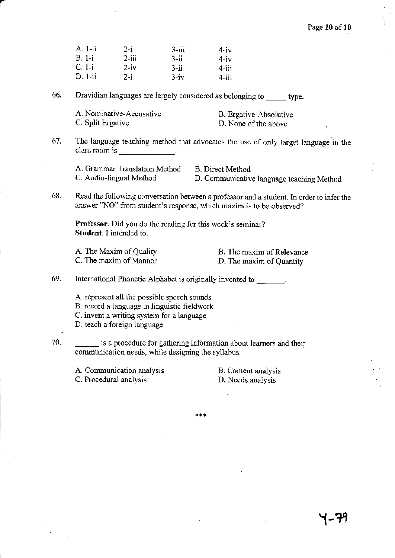|     | A. 1-ii                                                                                                                 |                                                          |           |                                                                                                                   |                                                                                          |
|-----|-------------------------------------------------------------------------------------------------------------------------|----------------------------------------------------------|-----------|-------------------------------------------------------------------------------------------------------------------|------------------------------------------------------------------------------------------|
|     | $B. 1-i$                                                                                                                | $2-i$<br>$2 - iii$                                       | $3 - iii$ | 4-iv                                                                                                              |                                                                                          |
|     | $C. 1-i$                                                                                                                | $2 - iv$                                                 | $3 - ii$  | $4-iv$                                                                                                            |                                                                                          |
|     | $D. 1-ii$                                                                                                               |                                                          | $3 - ii$  | $4 - i i i$                                                                                                       |                                                                                          |
|     |                                                                                                                         | $2-i$                                                    | $3 - iv$  | $4 - ii$                                                                                                          |                                                                                          |
| 66. |                                                                                                                         |                                                          |           | Dravidian languages are largely considered as belonging to ______ type.                                           |                                                                                          |
|     | A. Nominative-Accusative                                                                                                |                                                          |           | B. Ergative-Absolutive                                                                                            |                                                                                          |
|     | C. Split Ergative                                                                                                       |                                                          |           | D. None of the above                                                                                              | ŧ                                                                                        |
| 67. |                                                                                                                         | class room is $\frac{1}{1}$ .                            |           |                                                                                                                   | The language teaching method that advocates the use of only target language in the       |
|     |                                                                                                                         | A. Grammar Translation Method<br>C. Audio-lingual Method |           | <b>B.</b> Direct Method<br>D. Communicative language teaching Method                                              |                                                                                          |
| 68. |                                                                                                                         |                                                          |           | answer "NO" from student's response, which maxim is to be observed?                                               | Read the following conversation between a professor and a student. In order to infer the |
|     | Student. I intended to.                                                                                                 |                                                          |           | <b>Professor.</b> Did you do the reading for this week's seminar?                                                 |                                                                                          |
|     | A. The Maxim of Quality                                                                                                 |                                                          |           | <b>B.</b> The maxim of Relevance                                                                                  |                                                                                          |
|     | C. The maxim of Manner                                                                                                  |                                                          |           | D. The maxim of Quantity                                                                                          |                                                                                          |
| 69. |                                                                                                                         |                                                          |           | International Phonetic Alphabet is originally invented to find the contract of the contract of the latest states. |                                                                                          |
|     |                                                                                                                         | A. represent all the possible speech sounds              |           |                                                                                                                   |                                                                                          |
|     |                                                                                                                         | B. record a language in linguistic fieldwork             |           |                                                                                                                   |                                                                                          |
|     |                                                                                                                         | C. invent a writing system for a language                |           |                                                                                                                   |                                                                                          |
|     | D. teach a foreign language                                                                                             |                                                          |           |                                                                                                                   |                                                                                          |
| 70. | is a procedure for gathering information about learners and their<br>communication needs, while designing the syllabus. |                                                          |           |                                                                                                                   |                                                                                          |
|     | A. Communication analysis                                                                                               |                                                          |           | B. Content analysis                                                                                               |                                                                                          |
|     | C. Procedural analysis                                                                                                  |                                                          |           | D. Needs analysis                                                                                                 |                                                                                          |
|     |                                                                                                                         |                                                          |           | $\ddot{\cdot}$                                                                                                    |                                                                                          |
|     |                                                                                                                         |                                                          |           |                                                                                                                   |                                                                                          |

a

 $***$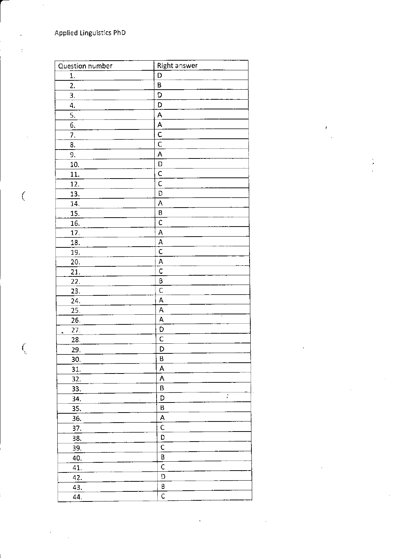$\big($ 

 $\bigl($ 

| Question number       | Right answer            |
|-----------------------|-------------------------|
| 1.                    | D                       |
| 2.                    | B                       |
| 3.                    | D                       |
| 4.                    | D                       |
| 5.                    | A                       |
| 6.                    | A                       |
| 7.                    | $rac{C}{C}$             |
| 8.                    |                         |
| 9.                    | A                       |
| 10.                   | D                       |
| 11.                   | C                       |
| 12.                   | C                       |
| 13.                   | D                       |
| 14.                   | A                       |
| 15.                   | B                       |
| 16.                   | $\mathsf C$             |
| 17.                   | A                       |
| 18.                   | A                       |
| 19.                   | $\overline{c}$          |
| 20.                   | A                       |
| 21.                   | $\mathsf{C}$            |
| 22.                   | Β                       |
| 23.                   | $\overline{\mathsf{C}}$ |
| 24.                   | A                       |
| 25.                   | A                       |
| 26.                   | A                       |
| 27.<br>$\blacksquare$ | D                       |
| 28.                   | $\overline{\mathsf{C}}$ |
| 29.                   | D                       |
| 30.                   | B                       |
| 31.                   | A                       |
| 32.                   | A                       |
| 33.                   | Β                       |
| 34.                   | ř,<br>D                 |
| 35.                   | В                       |
| 36.                   | А                       |
| 37.                   | Ċ                       |
| 38.                   | D                       |
| 39.                   | C                       |
| 40.                   | B                       |
| 41.                   | Ċ                       |
| 42.                   | D                       |
| 43.                   | B                       |
| 44.                   | Ċ.                      |